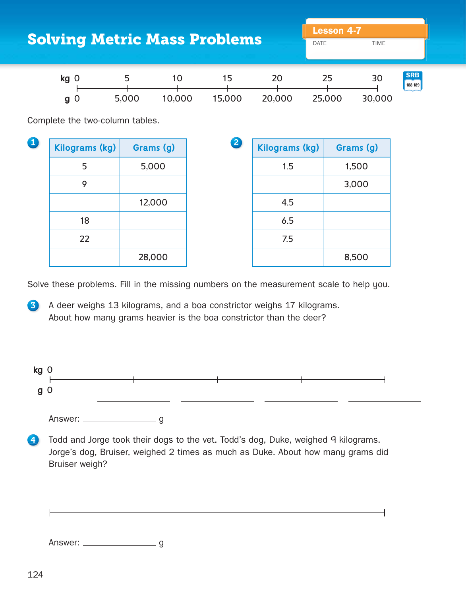| <b>Solving Metric Mass Problems</b> |                                   |                                         |                           |                       | <b>Lesson 4-7</b><br><b>DATE</b><br><b>TIME</b> |                       |
|-------------------------------------|-----------------------------------|-----------------------------------------|---------------------------|-----------------------|-------------------------------------------------|-----------------------|
|                                     | kg <sub>0</sub><br>g <sub>0</sub> | 5<br>10 <sup>°</sup><br>5,000<br>10,000 | 15 <sub>1</sub><br>15,000 | 20<br>20,000          | 25<br>30<br>25,000<br>30,000                    | <b>SRB</b><br>188-189 |
| Complete the two-column tables.     |                                   |                                         |                           |                       |                                                 |                       |
| O                                   | <b>Kilograms (kg)</b>             | Grams (g)                               | 2                         | <b>Kilograms (kg)</b> | Grams (g)                                       |                       |
|                                     | 5                                 | 5,000                                   |                           | 1.5                   | 1,500                                           |                       |
|                                     | 9                                 |                                         |                           |                       | 3,000                                           |                       |
|                                     |                                   | 12,000                                  |                           | 4.5                   |                                                 |                       |
|                                     | 18                                |                                         |                           | 6.5                   |                                                 |                       |
|                                     | 22                                |                                         |                           | 7.5                   |                                                 |                       |
|                                     |                                   | 28,000                                  |                           |                       | 8,500                                           |                       |

Solve these problems. Fill in the missing numbers on the measurement scale to help you.

3 A deer weighs 13 kilograms, and a boa constrictor weighs 17 kilograms. About how many grams heavier is the boa constrictor than the deer?



4 Todd and Jorge took their dogs to the vet. Todd's dog, Duke, weighed 9 kilograms. Jorge's dog, Bruiser, weighed 2 times as much as Duke. About how many grams did Bruiser weigh?

Answer: \_\_\_\_\_\_\_\_\_\_\_\_\_\_\_\_\_\_\_\_\_\_ g